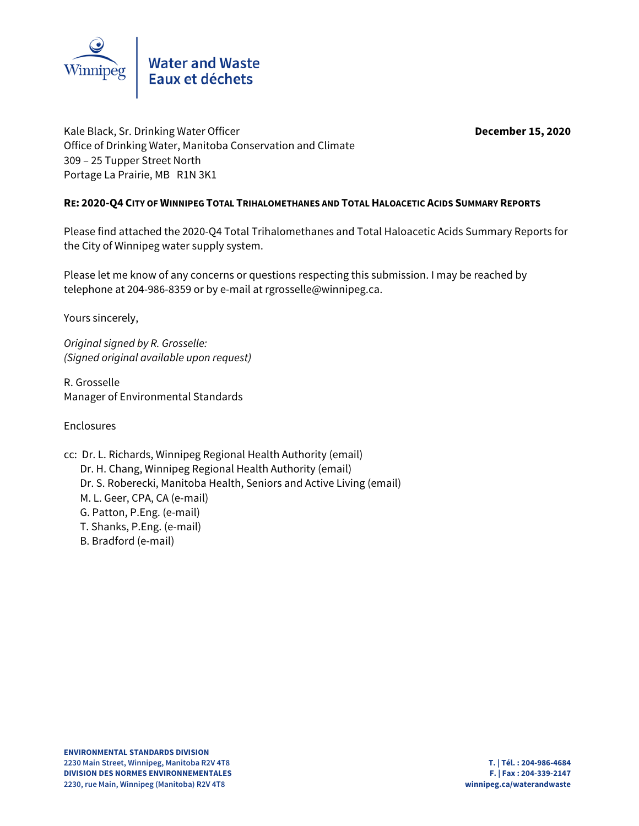

Kale Black, Sr. Drinking Water Officer **December 15, 2020** Office of Drinking Water, Manitoba Conservation and Climate 309 – 25 Tupper Street North Portage La Prairie, MB R1N 3K1

### **RE: 2020-Q4 CITY OF WINNIPEG TOTAL TRIHALOMETHANES AND TOTAL HALOACETIC ACIDS SUMMARY REPORTS**

Please find attached the 2020-Q4 Total Trihalomethanes and Total Haloacetic Acids Summary Reports for the City of Winnipeg water supply system.

Please let me know of any concerns or questions respecting this submission. I may be reached by telephone at 204-986-8359 or by e-mail at rgrosselle@winnipeg.ca.

Yours sincerely,

Original signed by R. Grosselle: (Signed original available upon request)

R. Grosselle Manager of Environmental Standards

Enclosures

- cc: Dr. L. Richards, Winnipeg Regional Health Authority (email) Dr. H. Chang, Winnipeg Regional Health Authority (email) Dr. S. Roberecki, Manitoba Health, Seniors and Active Living (email) M. L. Geer, CPA, CA (e-mail) G. Patton, P.Eng. (e-mail)
	- T. Shanks, P.Eng. (e-mail)
	- B. Bradford (e-mail)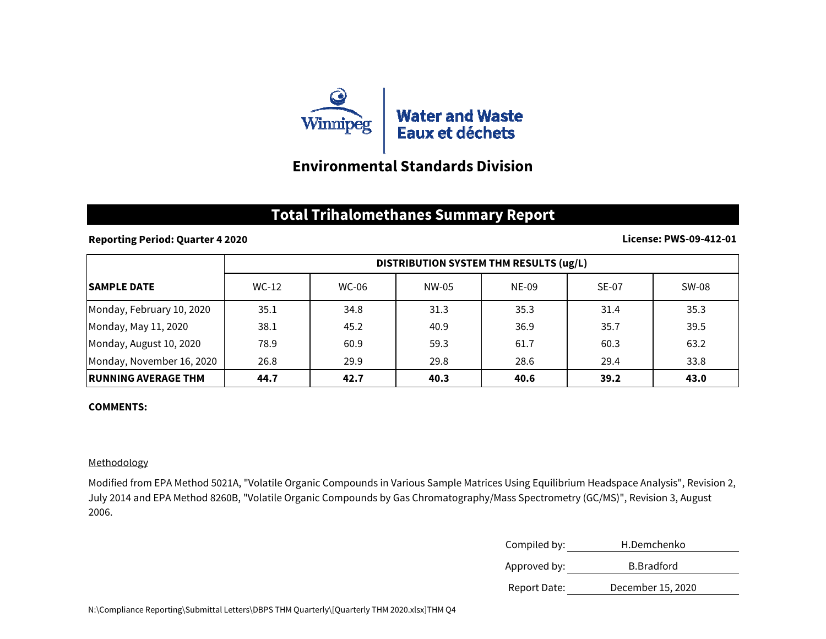

## **Environmental Standards Division**

## **Total Trihalomethanes Summary Report**

### **Reporting Period: Quarter 4 2020**

#### **License: PWS-09-412-01**

|                            | DISTRIBUTION SYSTEM THM RESULTS (ug/L) |       |       |       |              |       |
|----------------------------|----------------------------------------|-------|-------|-------|--------------|-------|
| <b>ISAMPLE DATE</b>        | $WC-12$                                | WC-06 | NW-05 | NE-09 | <b>SE-07</b> | SW-08 |
| Monday, February 10, 2020  | 35.1                                   | 34.8  | 31.3  | 35.3  | 31.4         | 35.3  |
| Monday, May 11, 2020       | 38.1                                   | 45.2  | 40.9  | 36.9  | 35.7         | 39.5  |
| Monday, August 10, 2020    | 78.9                                   | 60.9  | 59.3  | 61.7  | 60.3         | 63.2  |
| Monday, November 16, 2020  | 26.8                                   | 29.9  | 29.8  | 28.6  | 29.4         | 33.8  |
| <b>RUNNING AVERAGE THM</b> | 44.7                                   | 42.7  | 40.3  | 40.6  | 39.2         | 43.0  |

#### **COMMENTS:**

### Methodology

Modified from EPA Method 5021A, "Volatile Organic Compounds in Various Sample Matrices Using Equilibrium Headspace Analysis", Revision 2, July 2014 and EPA Method 8260B, "Volatile Organic Compounds by Gas Chromatography/Mass Spectrometry (GC/MS)", Revision 3, August 2006.

| Compiled by: | H.Demchenko        |
|--------------|--------------------|
| Approved by: | <b>B.</b> Bradford |
| Report Date: | December 15, 2020  |